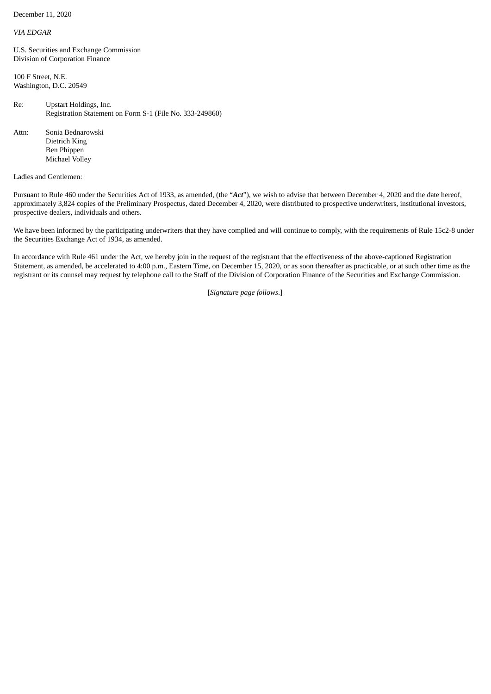December 11, 2020

## *VIA EDGAR*

U.S. Securities and Exchange Commission Division of Corporation Finance

100 F Street, N.E. Washington, D.C. 20549

Re: Upstart Holdings, Inc. Registration Statement on Form S-1 (File No. 333-249860)

Attn: Sonia Bednarowski Dietrich King Ben Phippen Michael Volley

## Ladies and Gentlemen:

Pursuant to Rule 460 under the Securities Act of 1933, as amended, (the "*Act*"), we wish to advise that between December 4, 2020 and the date hereof, approximately 3,824 copies of the Preliminary Prospectus, dated December 4, 2020, were distributed to prospective underwriters, institutional investors, prospective dealers, individuals and others.

We have been informed by the participating underwriters that they have complied and will continue to comply, with the requirements of Rule 15c2-8 under the Securities Exchange Act of 1934, as amended.

In accordance with Rule 461 under the Act, we hereby join in the request of the registrant that the effectiveness of the above-captioned Registration Statement, as amended, be accelerated to 4:00 p.m., Eastern Time, on December 15, 2020, or as soon thereafter as practicable, or at such other time as the registrant or its counsel may request by telephone call to the Staff of the Division of Corporation Finance of the Securities and Exchange Commission.

[*Signature page follows*.]